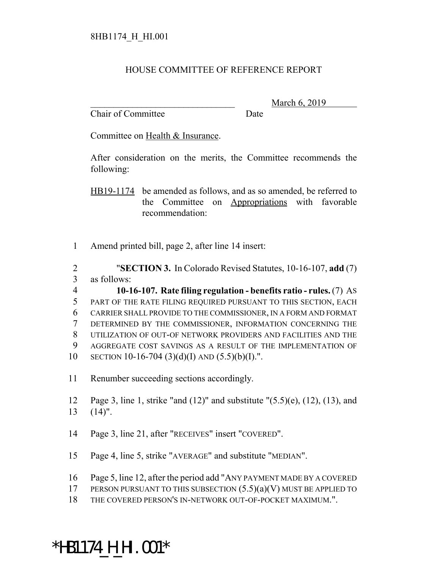#### HOUSE COMMITTEE OF REFERENCE REPORT

Chair of Committee Date

March 6, 2019

Committee on Health & Insurance.

After consideration on the merits, the Committee recommends the following:

HB19-1174 be amended as follows, and as so amended, be referred to the Committee on Appropriations with favorable recommendation:

1 Amend printed bill, page 2, after line 14 insert:

2 "**SECTION 3.** In Colorado Revised Statutes, 10-16-107, **add** (7) 3 as follows:

 **10-16-107. Rate filing regulation - benefits ratio - rules.** (7) AS PART OF THE RATE FILING REQUIRED PURSUANT TO THIS SECTION, EACH CARRIER SHALL PROVIDE TO THE COMMISSIONER, IN A FORM AND FORMAT DETERMINED BY THE COMMISSIONER, INFORMATION CONCERNING THE UTILIZATION OF OUT-OF NETWORK PROVIDERS AND FACILITIES AND THE AGGREGATE COST SAVINGS AS A RESULT OF THE IMPLEMENTATION OF 10 SECTION 10-16-704 (3)(d)(I) AND  $(5.5)(b)(I)$ .".

11 Renumber succeeding sections accordingly.

12 Page 3, line 1, strike "and (12)" and substitute "(5.5)(e), (12), (13), and 13 (14)".

- 14 Page 3, line 21, after "RECEIVES" insert "COVERED".
- 15 Page 4, line 5, strike "AVERAGE" and substitute "MEDIAN".
- 16 Page 5, line 12, after the period add "ANY PAYMENT MADE BY A COVERED
- 17 PERSON PURSUANT TO THIS SUBSECTION  $(5.5)(a)(V)$  MUST BE APPLIED TO
- 18 THE COVERED PERSON'S IN-NETWORK OUT-OF-POCKET MAXIMUM.".

# \*HB1174\_H\_HI.001\*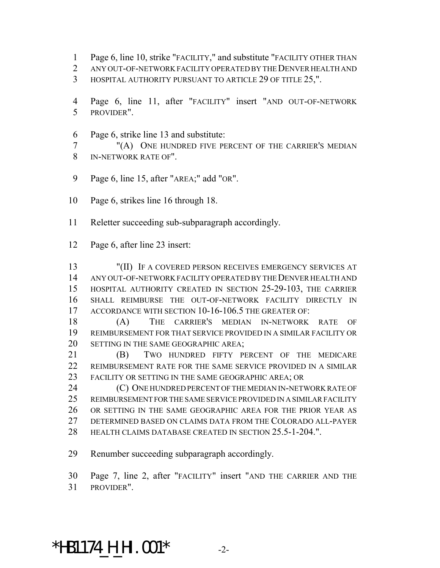- Page 6, line 10, strike "FACILITY," and substitute "FACILITY OTHER THAN
- ANY OUT-OF-NETWORK FACILITY OPERATED BY THE DENVER HEALTH AND
- HOSPITAL AUTHORITY PURSUANT TO ARTICLE 29 OF TITLE 25,".
- Page 6, line 11, after "FACILITY" insert "AND OUT-OF-NETWORK PROVIDER".
- Page 6, strike line 13 and substitute:
- "(A) ONE HUNDRED FIVE PERCENT OF THE CARRIER'S MEDIAN IN-NETWORK RATE OF".
- Page 6, line 15, after "AREA;" add "OR".
- Page 6, strikes line 16 through 18.
- Reletter succeeding sub-subparagraph accordingly.
- Page 6, after line 23 insert:

 "(II) IF A COVERED PERSON RECEIVES EMERGENCY SERVICES AT ANY OUT-OF-NETWORK FACILITY OPERATED BY THE DENVER HEALTH AND HOSPITAL AUTHORITY CREATED IN SECTION 25-29-103, THE CARRIER SHALL REIMBURSE THE OUT-OF-NETWORK FACILITY DIRECTLY IN 17 ACCORDANCE WITH SECTION 10-16-106.5 THE GREATER OF:

 (A) THE CARRIER'S MEDIAN IN-NETWORK RATE OF REIMBURSEMENT FOR THAT SERVICE PROVIDED IN A SIMILAR FACILITY OR 20 SETTING IN THE SAME GEOGRAPHIC AREA;

 (B) TWO HUNDRED FIFTY PERCENT OF THE MEDICARE REIMBURSEMENT RATE FOR THE SAME SERVICE PROVIDED IN A SIMILAR FACILITY OR SETTING IN THE SAME GEOGRAPHIC AREA; OR

**(C)** ONE HUNDRED PERCENT OF THE MEDIAN IN-NETWORK RATE OF REIMBURSEMENT FOR THE SAME SERVICE PROVIDED IN A SIMILAR FACILITY OR SETTING IN THE SAME GEOGRAPHIC AREA FOR THE PRIOR YEAR AS DETERMINED BASED ON CLAIMS DATA FROM THE COLORADO ALL-PAYER HEALTH CLAIMS DATABASE CREATED IN SECTION 25.5-1-204.".

Renumber succeeding subparagraph accordingly.

 Page 7, line 2, after "FACILITY" insert "AND THE CARRIER AND THE PROVIDER".

### \*HB1174\_H\_HI.001\* -2-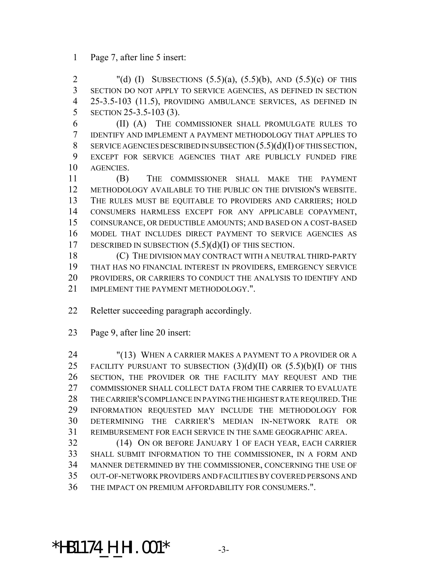Page 7, after line 5 insert:

2 "(d) (I) SUBSECTIONS  $(5.5)(a)$ ,  $(5.5)(b)$ , AND  $(5.5)(c)$  OF THIS SECTION DO NOT APPLY TO SERVICE AGENCIES, AS DEFINED IN SECTION 25-3.5-103 (11.5), PROVIDING AMBULANCE SERVICES, AS DEFINED IN SECTION 25-3.5-103 (3).

 (II) (A) THE COMMISSIONER SHALL PROMULGATE RULES TO IDENTIFY AND IMPLEMENT A PAYMENT METHODOLOGY THAT APPLIES TO 8 SERVICE AGENCIES DESCRIBED IN SUBSECTION  $(5.5)(d)(I)$  OF THIS SECTION, EXCEPT FOR SERVICE AGENCIES THAT ARE PUBLICLY FUNDED FIRE AGENCIES.

 (B) THE COMMISSIONER SHALL MAKE THE PAYMENT METHODOLOGY AVAILABLE TO THE PUBLIC ON THE DIVISION'S WEBSITE. THE RULES MUST BE EQUITABLE TO PROVIDERS AND CARRIERS; HOLD CONSUMERS HARMLESS EXCEPT FOR ANY APPLICABLE COPAYMENT, COINSURANCE, OR DEDUCTIBLE AMOUNTS; AND BASED ON A COST-BASED MODEL THAT INCLUDES DIRECT PAYMENT TO SERVICE AGENCIES AS 17 DESCRIBED IN SUBSECTION  $(5.5)(d)(I)$  OF THIS SECTION.

 (C) THE DIVISION MAY CONTRACT WITH A NEUTRAL THIRD-PARTY THAT HAS NO FINANCIAL INTEREST IN PROVIDERS, EMERGENCY SERVICE PROVIDERS, OR CARRIERS TO CONDUCT THE ANALYSIS TO IDENTIFY AND 21 IMPLEMENT THE PAYMENT METHODOLOGY.".

Reletter succeeding paragraph accordingly.

Page 9, after line 20 insert:

 "(13) WHEN A CARRIER MAKES A PAYMENT TO A PROVIDER OR A 25 FACILITY PURSUANT TO SUBSECTION  $(3)(d)(II)$  OR  $(5.5)(b)(I)$  OF THIS SECTION, THE PROVIDER OR THE FACILITY MAY REQUEST AND THE COMMISSIONER SHALL COLLECT DATA FROM THE CARRIER TO EVALUATE THE CARRIER'S COMPLIANCE IN PAYING THE HIGHEST RATE REQUIRED.THE INFORMATION REQUESTED MAY INCLUDE THE METHODOLOGY FOR DETERMINING THE CARRIER'S MEDIAN IN-NETWORK RATE OR REIMBURSEMENT FOR EACH SERVICE IN THE SAME GEOGRAPHIC AREA.

 (14) ON OR BEFORE JANUARY 1 OF EACH YEAR, EACH CARRIER SHALL SUBMIT INFORMATION TO THE COMMISSIONER, IN A FORM AND MANNER DETERMINED BY THE COMMISSIONER, CONCERNING THE USE OF OUT-OF-NETWORK PROVIDERS AND FACILITIES BY COVERED PERSONS AND THE IMPACT ON PREMIUM AFFORDABILITY FOR CONSUMERS.".

## \*HB1174\_H\_HI.001\* -3-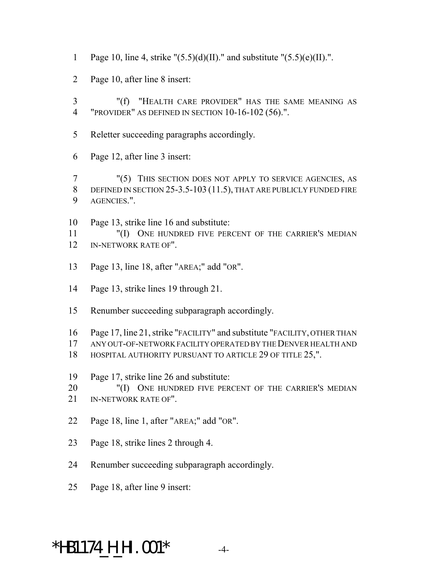- 1 Page 10, line 4, strike " $(5.5)(d)(II)$ ." and substitute " $(5.5)(e)(II)$ .".
- Page 10, after line 8 insert:
- "(f) "HEALTH CARE PROVIDER" HAS THE SAME MEANING AS "PROVIDER" AS DEFINED IN SECTION 10-16-102 (56).".
- Reletter succeeding paragraphs accordingly.
- Page 12, after line 3 insert:

 "(5) THIS SECTION DOES NOT APPLY TO SERVICE AGENCIES, AS 8 DEFINED IN SECTION 25-3.5-103 (11.5), THAT ARE PUBLICLY FUNDED FIRE AGENCIES.".

 Page 13, strike line 16 and substitute: "(I) ONE HUNDRED FIVE PERCENT OF THE CARRIER'S MEDIAN IN-NETWORK RATE OF".

- Page 13, line 18, after "AREA;" add "OR".
- Page 13, strike lines 19 through 21.
- Renumber succeeding subparagraph accordingly.
- Page 17, line 21, strike "FACILITY" and substitute "FACILITY, OTHER THAN
- ANY OUT-OF-NETWORK FACILITY OPERATED BY THE DENVER HEALTH AND
- 18 HOSPITAL AUTHORITY PURSUANT TO ARTICLE 29 OF TITLE 25,".
- Page 17, strike line 26 and substitute:
- 20 "(I) ONE HUNDRED FIVE PERCENT OF THE CARRIER'S MEDIAN
- IN-NETWORK RATE OF".
- Page 18, line 1, after "AREA;" add "OR".
- Page 18, strike lines 2 through 4.
- Renumber succeeding subparagraph accordingly.
- Page 18, after line 9 insert:

# \*HB1174\_H\_HI.001\* -4-